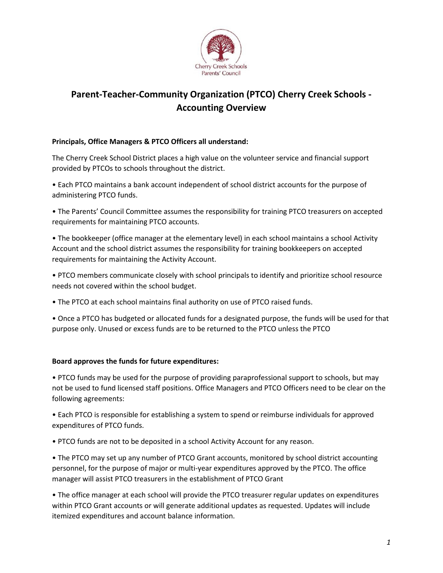

## Parent-Teacher-Community Organization (PTCO) Cherry Creek Schools - Accounting Overview

## Principals, Office Managers & PTCO Officers all understand:

The Cherry Creek School District places a high value on the volunteer service and financial support provided by PTCOs to schools throughout the district.

• Each PTCO maintains a bank account independent of school district accounts for the purpose of administering PTCO funds.

• The Parents' Council Committee assumes the responsibility for training PTCO treasurers on accepted requirements for maintaining PTCO accounts.

• The bookkeeper (office manager at the elementary level) in each school maintains a school Activity Account and the school district assumes the responsibility for training bookkeepers on accepted requirements for maintaining the Activity Account.

• PTCO members communicate closely with school principals to identify and prioritize school resource needs not covered within the school budget.

• The PTCO at each school maintains final authority on use of PTCO raised funds.

• Once a PTCO has budgeted or allocated funds for a designated purpose, the funds will be used for that purpose only. Unused or excess funds are to be returned to the PTCO unless the PTCO

## Board approves the funds for future expenditures:

• PTCO funds may be used for the purpose of providing paraprofessional support to schools, but may not be used to fund licensed staff positions. Office Managers and PTCO Officers need to be clear on the following agreements:

• Each PTCO is responsible for establishing a system to spend or reimburse individuals for approved expenditures of PTCO funds.

• PTCO funds are not to be deposited in a school Activity Account for any reason.

• The PTCO may set up any number of PTCO Grant accounts, monitored by school district accounting personnel, for the purpose of major or multi-year expenditures approved by the PTCO. The office manager will assist PTCO treasurers in the establishment of PTCO Grant

• The office manager at each school will provide the PTCO treasurer regular updates on expenditures within PTCO Grant accounts or will generate additional updates as requested. Updates will include itemized expenditures and account balance information.